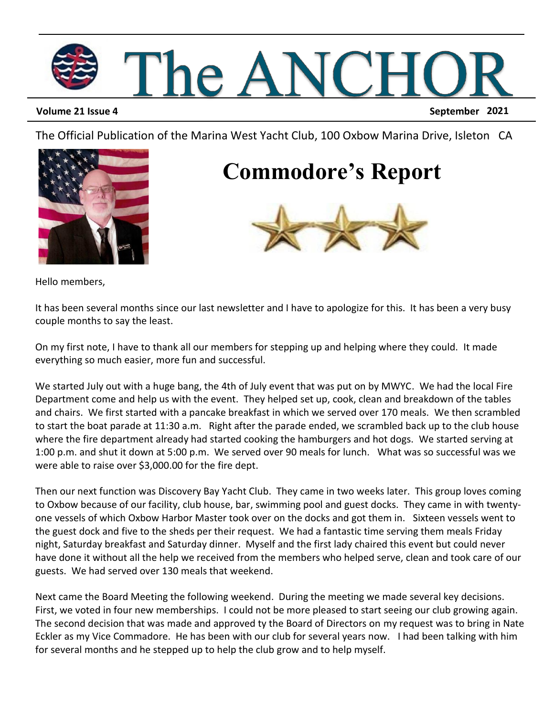

**Volume 21 Issue 4 September 2021**

The Official Publication of the Marina West Yacht Club, 100 Oxbow Marina Drive, Isleton CA



#### **Commodore's Report**



Hello members,

It has been several months since our last newsletter and I have to apologize for this. It has been a very busy couple months to say the least.

On my first note, I have to thank all our members for stepping up and helping where they could. It made everything so much easier, more fun and successful.

We started July out with a huge bang, the 4th of July event that was put on by MWYC. We had the local Fire Department come and help us with the event. They helped set up, cook, clean and breakdown of the tables and chairs. We first started with a pancake breakfast in which we served over 170 meals. We then scrambled to start the boat parade at 11:30 a.m. Right after the parade ended, we scrambled back up to the club house where the fire department already had started cooking the hamburgers and hot dogs. We started serving at 1:00 p.m. and shut it down at 5:00 p.m. We served over 90 meals for lunch. What was so successful was we were able to raise over \$3,000.00 for the fire dept.

Then our next function was Discovery Bay Yacht Club. They came in two weeks later. This group loves coming to Oxbow because of our facility, club house, bar, swimming pool and guest docks. They came in with twentyone vessels of which Oxbow Harbor Master took over on the docks and got them in. Sixteen vessels went to the guest dock and five to the sheds per their request. We had a fantastic time serving them meals Friday night, Saturday breakfast and Saturday dinner. Myself and the first lady chaired this event but could never have done it without all the help we received from the members who helped serve, clean and took care of our guests. We had served over 130 meals that weekend.

Next came the Board Meeting the following weekend. During the meeting we made several key decisions. First, we voted in four new memberships. I could not be more pleased to start seeing our club growing again. The second decision that was made and approved ty the Board of Directors on my request was to bring in Nate Eckler as my Vice Commadore. He has been with our club for several years now. I had been talking with him for several months and he stepped up to help the club grow and to help myself.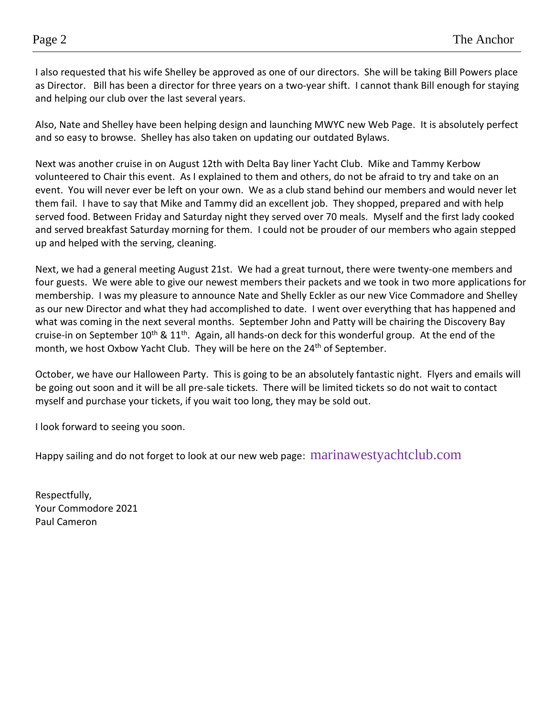I also requested that his wife Shelley be approved as one of our directors. She will be taking Bill Powers place as Director. Bill has been a director for three years on a two-year shift. I cannot thank Bill enough for staying and helping our club over the last several years.

Also, Nate and Shelley have been helping design and launching MWYC new Web Page. It is absolutely perfect and so easy to browse. Shelley has also taken on updating our outdated Bylaws.

Next was another cruise in on August 12th with Delta Bay liner Yacht Club. Mike and Tammy Kerbow volunteered to Chair this event. As I explained to them and others, do not be afraid to try and take on an event. You will never ever be left on your own. We as a club stand behind our members and would never let them fail. I have to say that Mike and Tammy did an excellent job. They shopped, prepared and with help served food. Between Friday and Saturday night they served over 70 meals. Myself and the first lady cooked and served breakfast Saturday morning for them. I could not be prouder of our members who again stepped up and helped with the serving, cleaning.

Next, we had a general meeting August 21st. We had a great turnout, there were twenty-one members and four guests. We were able to give our newest members their packets and we took in two more applications for membership. I was my pleasure to announce Nate and Shelly Eckler as our new Vice Commadore and Shelley as our new Director and what they had accomplished to date. I went over everything that has happened and what was coming in the next several months. September John and Patty will be chairing the Discovery Bay cruise-in on September 10<sup>th</sup> & 11<sup>th</sup>. Again, all hands-on deck for this wonderful group. At the end of the month, we host Oxbow Yacht Club. They will be here on the 24<sup>th</sup> of September.

October, we have our Halloween Party. This is going to be an absolutely fantastic night. Flyers and emails will be going out soon and it will be all pre-sale tickets. There will be limited tickets so do not wait to contact myself and purchase your tickets, if you wait too long, they may be sold out.

I look forward to seeing you soon.

Happy sailing and do not forget to look at our new web page: marinawestyachtclub.com

Respectfully, Your Commodore 2021 Paul Cameron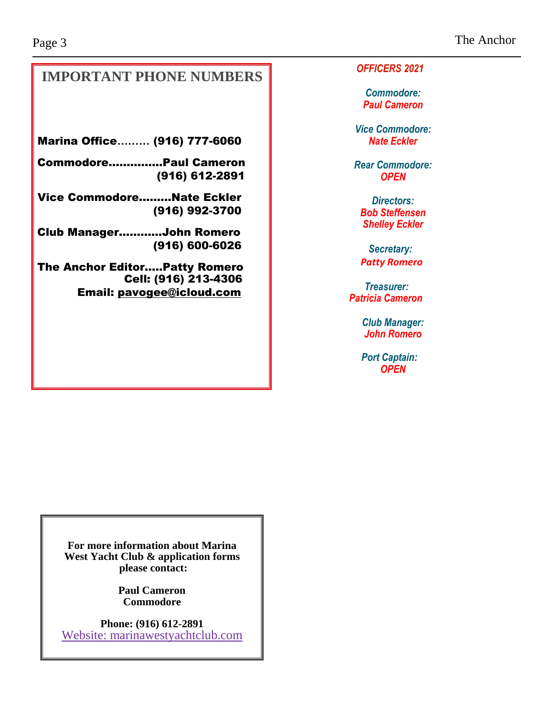#### **IMPORTANT PHONE NUMBERS**

Marina Office**………** (916) 777-6060

Commodore…...……...Paul Cameron (916) 612-2891

Vice Commodore…......Nate Eckler (916) 992-3700

Club Manager..……....John Romero (916) 600-6026

The Anchor Editor…..Patty Romero Cell: (916) 213-4306 Email: [pavogee@icloud.com](mailto:pavogee@icloud.com)

*OFFICERS 2021*

*Commodore: Paul Cameron*

*Vice Commodore: Nate Eckler*

*Rear Commodore: OPEN*

*Directors: Bob Steffensen Shelley Eckler*

*Secretary: Patty Romero*

*Treasurer: Patricia Cameron*

> *Club Manager: John Romero*

 *Port Captain: OPEN*

**For more information about Marina West Yacht Club & application forms please contact:**

> **Paul Cameron Commodore**

**Phone: (916) 612-2891** Website: marinawestyachtclub.com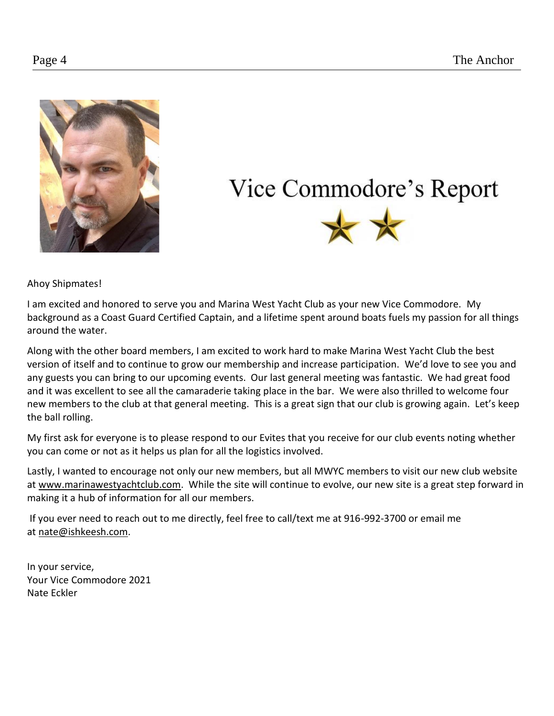

### Vice Commodore's Report



Ahoy Shipmates!

I am excited and honored to serve you and Marina West Yacht Club as your new Vice Commodore. My background as a Coast Guard Certified Captain, and a lifetime spent around boats fuels my passion for all things around the water.

Along with the other board members, I am excited to work hard to make Marina West Yacht Club the best version of itself and to continue to grow our membership and increase participation. We'd love to see you and any guests you can bring to our upcoming events. Our last general meeting was fantastic. We had great food and it was excellent to see all the camaraderie taking place in the bar. We were also thrilled to welcome four new members to the club at that general meeting. This is a great sign that our club is growing again. Let's keep the ball rolling.

My first ask for everyone is to please respond to our Evites that you receive for our club events noting whether you can come or not as it helps us plan for all the logistics involved.

Lastly, I wanted to encourage not only our new members, but all MWYC members to visit our new club website at [www.marinawestyachtclub.com.](http://www.marinawestyachtclub.com/) While the site will continue to evolve, our new site is a great step forward in making it a hub of information for all our members.

If you ever need to reach out to me directly, feel free to call/text me at 916-992-3700 or email me at [nate@ishkeesh.com.](mailto:nate@ishkeesh.com)

In your service, Your Vice Commodore 2021 Nate Eckler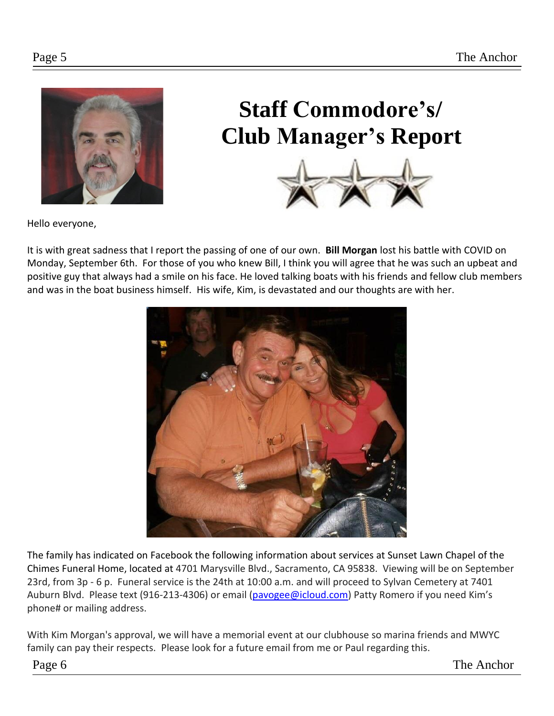

## **Staff Commodore's/ Club Manager's Report**



Hello everyone,

It is with great sadness that I report the passing of one of our own. **Bill Morgan** lost his battle with COVID on Monday, September 6th. For those of you who knew Bill, I think you will agree that he was such an upbeat and positive guy that always had a smile on his face. He loved talking boats with his friends and fellow club members and was in the boat business himself. His wife, Kim, is devastated and our thoughts are with her.



The family has indicated on Facebook the following information about services at Sunset Lawn Chapel of the Chimes Funeral Home, located at 4701 Marysville Blvd., Sacramento, CA 95838. Viewing will be on September 23rd, from 3p - 6 p. Funeral service is the 24th at 10:00 a.m. and will proceed to Sylvan Cemetery at 7401 Auburn Blvd. Please text (916-213-4306) or email [\(pavogee@icloud.com\)](mailto:pavogee@icloud.com) Patty Romero if you need Kim's phone# or mailing address.

With Kim Morgan's approval, we will have a memorial event at our clubhouse so marina friends and MWYC family can pay their respects. Please look for a future email from me or Paul regarding this.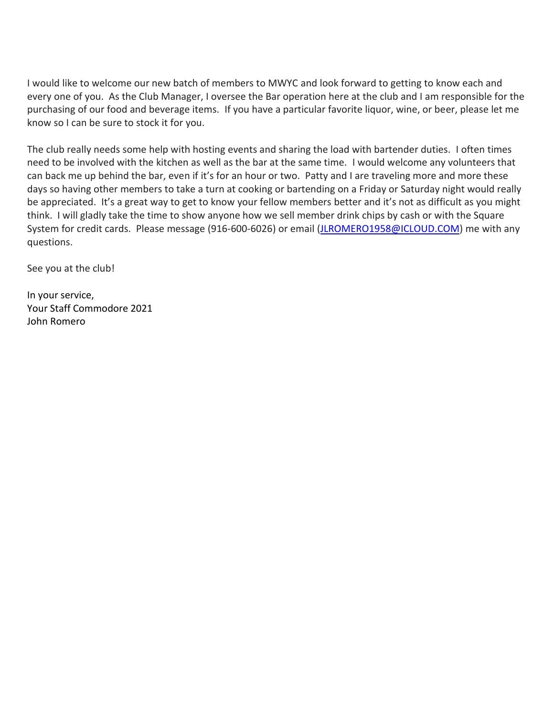I would like to welcome our new batch of members to MWYC and look forward to getting to know each and every one of you. As the Club Manager, I oversee the Bar operation here at the club and I am responsible for the purchasing of our food and beverage items. If you have a particular favorite liquor, wine, or beer, please let me know so I can be sure to stock it for you.

The club really needs some help with hosting events and sharing the load with bartender duties. I often times need to be involved with the kitchen as well as the bar at the same time. I would welcome any volunteers that can back me up behind the bar, even if it's for an hour or two. Patty and I are traveling more and more these days so having other members to take a turn at cooking or bartending on a Friday or Saturday night would really be appreciated. It's a great way to get to know your fellow members better and it's not as difficult as you might think. I will gladly take the time to show anyone how we sell member drink chips by cash or with the Square System for credit cards. Please message (916-600-6026) or email [\(JLROMERO1958@ICLOUD.COM\)](mailto:JLROMERO1958@ICLOUD.COM) me with any questions.

See you at the club!

In your service, Your Staff Commodore 2021 John Romero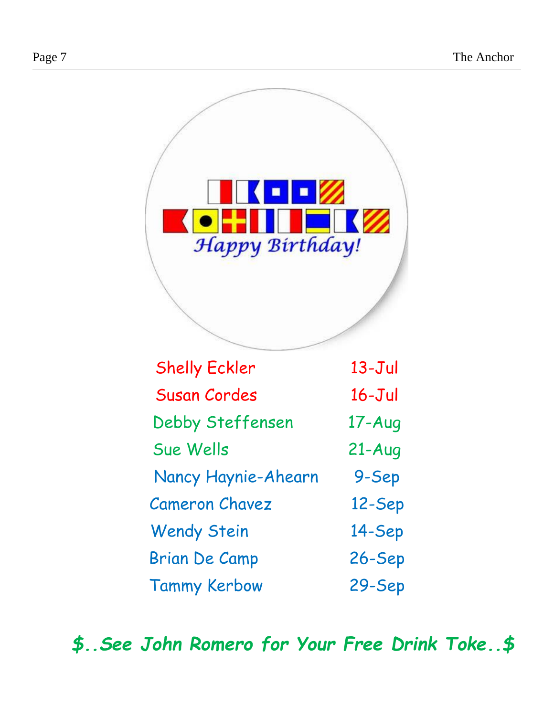

| Sue Wells             | $21 - Aug$ |
|-----------------------|------------|
| Nancy Haynie-Ahearn   | 9-Sep      |
| <b>Cameron Chavez</b> | 12-Sep     |
| <b>Wendy Stein</b>    | 14-Sep     |
| <b>Brian De Camp</b>  | $26 - Sep$ |
| <b>Tammy Kerbow</b>   | 29-Sep     |

*\$..See John Romero for Your Free Drink Toke..\$*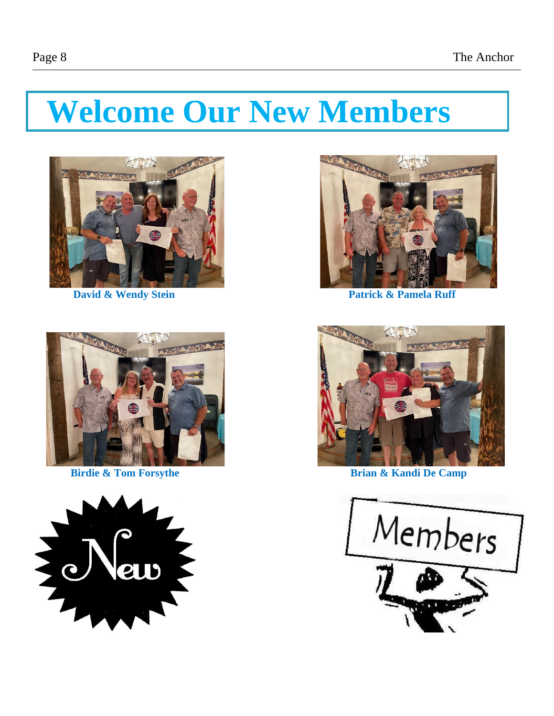# **Welcome Our New Members**









**David & Wendy Stein Patrick & Pamela Ruff** 



**Birdie & Tom Forsythe Brian & Kandi De Camp** 

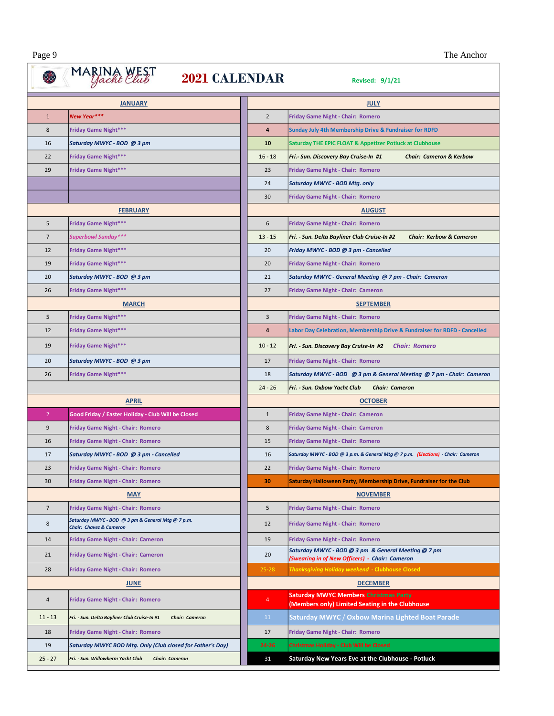┓

# **CONSECUTE 2021 CALENDAR**

|                | <b>JANUARY</b>                                                                          |                  | <b>JULY</b>                                                                                           |                                    |
|----------------|-----------------------------------------------------------------------------------------|------------------|-------------------------------------------------------------------------------------------------------|------------------------------------|
| $\mathbf{1}$   | New Year***                                                                             | $\overline{2}$   | <b>Friday Game Night - Chair: Romero</b>                                                              |                                    |
| 8              | <b>Friday Game Night***</b>                                                             | 4                | Sunday July 4th Membership Drive & Fundraiser for RDFD                                                |                                    |
| 16             | Saturday MWYC - BOD @ 3 pm                                                              | 10               | Saturday THE EPIC FLOAT & Appetizer Potluck at Clubhouse                                              |                                    |
| 22             | <b>Friday Game Night***</b>                                                             | $16 - 18$        | Fri.- Sun. Discovery Bay Cruise-In #1                                                                 | <b>Chair: Cameron &amp; Kerbow</b> |
| 29             | <b>Friday Game Night***</b>                                                             | 23               | <b>Friday Game Night - Chair: Romero</b>                                                              |                                    |
|                |                                                                                         | 24               | Saturday MWYC - BOD Mtg. only                                                                         |                                    |
|                |                                                                                         | 30               | <b>Friday Game Night - Chair: Romero</b>                                                              |                                    |
|                | <b>FEBRUARY</b>                                                                         | <b>AUGUST</b>    |                                                                                                       |                                    |
| 5              | Friday Game Night***                                                                    | 6                | <b>Friday Game Night - Chair: Romero</b>                                                              |                                    |
| $\overline{7}$ | Superbowl Sunday***                                                                     | $13 - 15$        | Fri. - Sun. Delta Bayliner Club Cruise-In #2                                                          | <b>Chair: Kerbow &amp; Cameron</b> |
| 12             | <b>Friday Game Night***</b>                                                             | 20               | Friday MWYC - BOD @ 3 pm - Cancelled                                                                  |                                    |
| 19             | <b>Friday Game Night***</b>                                                             | 20               | <b>Friday Game Night - Chair: Romero</b>                                                              |                                    |
| 20             | Saturday MWYC - BOD @ 3 pm                                                              | 21               | Saturday MWYC - General Meeting @ 7 pm - Chair: Cameron                                               |                                    |
| 26             | <b>Friday Game Night***</b>                                                             | 27               | <b>Friday Game Night - Chair: Cameron</b>                                                             |                                    |
|                | <b>MARCH</b>                                                                            | <b>SEPTEMBER</b> |                                                                                                       |                                    |
| 5              | <b>Friday Game Night***</b>                                                             | 3                | <b>Friday Game Night - Chair: Romero</b>                                                              |                                    |
| 12             | <b>Friday Game Night***</b>                                                             | 4                | Labor Day Celebration, Membership Drive & Fundraiser for RDFD - Cancelled                             |                                    |
| 19             | <b>Friday Game Night***</b>                                                             | $10 - 12$        | Fri. - Sun. Discovery Bay Cruise-In #2    Chair: Romero                                               |                                    |
| 20             | Saturday MWYC - BOD @ 3 pm                                                              | 17               | <b>Friday Game Night - Chair: Romero</b>                                                              |                                    |
| 26             | <b>Friday Game Night***</b>                                                             | 18               | Saturday MWYC - BOD @ 3 pm & General Meeting @ 7 pm - Chair: Cameron                                  |                                    |
|                |                                                                                         | $24 - 26$        | Fri. - Sun. Oxbow Yacht Club<br><b>Chair: Cameron</b>                                                 |                                    |
|                | <b>APRIL</b>                                                                            | <b>OCTOBER</b>   |                                                                                                       |                                    |
| $\overline{2}$ | Good Friday / Easter Holiday - Club Will be Closed                                      | $\mathbf{1}$     | Friday Game Night - Chair: Cameron                                                                    |                                    |
| 9              | Friday Game Night - Chair: Romero                                                       | 8                | Friday Game Night - Chair: Cameron                                                                    |                                    |
| 16             | Friday Game Night - Chair: Romero                                                       | 15               | <b>Friday Game Night - Chair: Romero</b>                                                              |                                    |
| 17             | Saturday MWYC - BOD @ 3 pm - Cancelled                                                  | 16               | Saturday MWYC - BOD @ 3 p.m. & General Mtg @ 7 p.m. (Elections) - Chair: Cameron                      |                                    |
| 23             | Friday Game Night - Chair: Romero                                                       | 22               | <b>Friday Game Night - Chair: Romero</b>                                                              |                                    |
| 30             | Friday Game Night - Chair: Romero                                                       | 30               | Saturday Halloween Party, Membership Drive, Fundraiser for the Club                                   |                                    |
|                | <b>MAY</b>                                                                              |                  | <b>NOVEMBER</b>                                                                                       |                                    |
| $\overline{7}$ | Friday Game Night - Chair: Romero                                                       | 5                | <b>Friday Game Night - Chair: Romero</b>                                                              |                                    |
| 8              | Saturday MWYC - BOD @ 3 pm & General Mtg @ 7 p.m.<br><b>Chair: Chavez &amp; Cameron</b> | 12               | <b>Friday Game Night - Chair: Romero</b>                                                              |                                    |
| 14             | Friday Game Night - Chair: Cameron                                                      | 19               | <b>Friday Game Night - Chair: Romero</b>                                                              |                                    |
| 21             | Friday Game Night - Chair: Cameron                                                      | 20               | Saturday MWYC - BOD @ 3 pm & General Meeting @ 7 pm<br>(Swearing in of New Officers) - Chair: Cameron |                                    |
| 28             | Friday Game Night - Chair: Romero                                                       | $25 - 28$        | Thanksgiving Holiday weekend - Clubhouse Closed                                                       |                                    |
| <b>JUNE</b>    |                                                                                         |                  | <b>DECEMBER</b>                                                                                       |                                    |
| 4              | Friday Game Night - Chair: Romero                                                       | $\overline{4}$   | <b>Saturday MWYC Members Christmas Party</b><br>(Members only) Limited Seating in the Clubhouse       |                                    |
| $11 - 13$      | Fri. - Sun. Delta Bayliner Club Cruise-In #1<br><b>Chair: Cameron</b>                   | 11               | Saturday MWYC / Oxbow Marina Lighted Boat Parade                                                      |                                    |
| 18             | Friday Game Night - Chair: Romero                                                       | 17               | Friday Game Night - Chair: Romero                                                                     |                                    |
| 19             | Saturday MWYC BOD Mtg. Only (Club closed for Father's Day)                              | $24 - 26$        | <b>Christmas Holiday - Club Will be Closed</b>                                                        |                                    |
| $25 - 27$      | Fri. - Sun. Willowberm Yacht Club<br><b>Chair: Cameron</b>                              | 31               | Saturday New Years Eve at the Clubhouse - Potluck                                                     |                                    |

| NDAR:           | <b>Revised: 9/1/21</b>                                                                                |  |  |  |
|-----------------|-------------------------------------------------------------------------------------------------------|--|--|--|
| <b>JULY</b>     |                                                                                                       |  |  |  |
| $\overline{2}$  | <b>Friday Game Night - Chair: Romero</b>                                                              |  |  |  |
| 4               | <b>Sunday July 4th Membership Drive &amp; Fundraiser for RDFD</b>                                     |  |  |  |
| 10              | Saturday THE EPIC FLOAT & Appetizer Potluck at Clubhouse                                              |  |  |  |
| $16 - 18$       | Fri.- Sun. Discovery Bay Cruise-In #1<br><b>Chair: Cameron &amp; Kerbow</b>                           |  |  |  |
| 23              | <b>Friday Game Night - Chair: Romero</b>                                                              |  |  |  |
| 24              | Saturday MWYC - BOD Mtg. only                                                                         |  |  |  |
| 30              | <b>Friday Game Night - Chair: Romero</b>                                                              |  |  |  |
| <b>AUGUST</b>   |                                                                                                       |  |  |  |
| 6               | <b>Friday Game Night - Chair: Romero</b>                                                              |  |  |  |
| $13 - 15$       | Fri. - Sun. Delta Bayliner Club Cruise-In #2<br>Chair: Kerbow & Cameron                               |  |  |  |
| 20              | Friday MWYC - BOD @ 3 pm - Cancelled                                                                  |  |  |  |
| 20              | <b>Friday Game Night - Chair: Romero</b>                                                              |  |  |  |
| 21              | Saturday MWYC - General Meeting @ 7 pm - Chair: Cameron                                               |  |  |  |
| 27              | <b>Friday Game Night - Chair: Cameron</b>                                                             |  |  |  |
|                 | <b>SEPTEMBER</b>                                                                                      |  |  |  |
| 3               | <b>Friday Game Night - Chair: Romero</b>                                                              |  |  |  |
| 4               | Labor Day Celebration, Membership Drive & Fundraiser for RDFD - Cancelled                             |  |  |  |
| $10 - 12$       | Fri. - Sun. Discovery Bay Cruise-In #2<br><b>Chair: Romero</b>                                        |  |  |  |
| 17              | <b>Friday Game Night - Chair: Romero</b>                                                              |  |  |  |
| 18              | Saturday MWYC - BOD   @ 3 pm & General Meeting  @ 7 pm - Chair:  Cameron                              |  |  |  |
| $24 - 26$       | Fri. - Sun. Oxbow Yacht Club<br><b>Chair: Cameron</b>                                                 |  |  |  |
|                 | <b>OCTOBER</b>                                                                                        |  |  |  |
| $\mathbf{1}$    | <b>Friday Game Night - Chair: Cameron</b>                                                             |  |  |  |
| 8               | Friday Game Night - Chair: Cameron                                                                    |  |  |  |
| 15              | <b>Friday Game Night - Chair: Romero</b>                                                              |  |  |  |
| 16              | Saturday MWYC - BOD @ 3 p.m. & General Mtg @ 7 p.m.   (Elections)  - Chair:  Cameron                  |  |  |  |
| 22              | <b>Friday Game Night - Chair: Romero</b>                                                              |  |  |  |
| 30              | Saturday Halloween Party, Membership Drive, Fundraiser for the Club                                   |  |  |  |
|                 | <b>NOVEMBER</b>                                                                                       |  |  |  |
| 5               | <b>Friday Game Night - Chair: Romero</b>                                                              |  |  |  |
| 12              | Friday Game Night - Chair: Romero                                                                     |  |  |  |
| 19              | Friday Game Night - Chair: Romero                                                                     |  |  |  |
| 20              | Saturday MWYC - BOD @ 3 pm & General Meeting @ 7 pm<br>(Swearing in of New Officers) - Chair: Cameron |  |  |  |
| $25 - 28$       | Thanksgiving Holiday weekend - Clubhouse Closed                                                       |  |  |  |
| <b>DECEMBER</b> |                                                                                                       |  |  |  |
| 4               | <b>Saturday MWYC Members Christmas Party</b>                                                          |  |  |  |
| 11              | (Members only) Limited Seating in the Clubhouse<br>Saturday MWYC / Oxbow Marina Lighted Boat Parade   |  |  |  |
| 17              | Friday Game Night - Chair: Romero                                                                     |  |  |  |
| 24-26           | <b>Christmas Holiday - Club Will be Closed</b>                                                        |  |  |  |
| 31              | Saturday New Years Eve at the Clubhouse - Potluck                                                     |  |  |  |